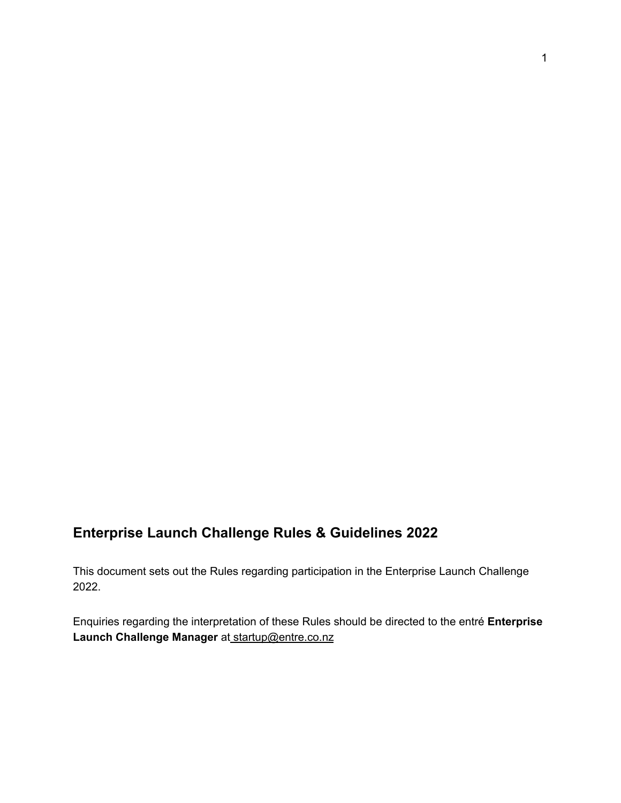## **Enterprise Launch Challenge Rules & Guidelines 2022**

This document sets out the Rules regarding participation in the Enterprise Launch Challenge 2022.

Enquiries regarding the interpretation of these Rules should be directed to the entré **Enterprise Launch Challenge Manager** at startup@entre.co.nz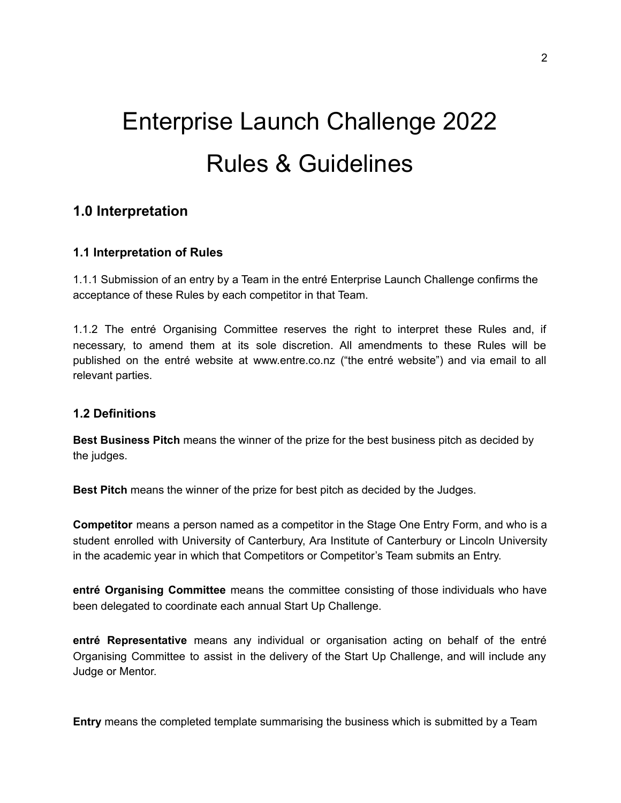# Enterprise Launch Challenge 2022 Rules & Guidelines

#### **1.0 Interpretation**

#### **1.1 Interpretation of Rules**

1.1.1 Submission of an entry by a Team in the entré Enterprise Launch Challenge confirms the acceptance of these Rules by each competitor in that Team.

1.1.2 The entré Organising Committee reserves the right to interpret these Rules and, if necessary, to amend them at its sole discretion. All amendments to these Rules will be published on the entré website at www.entre.co.nz ("the entré website") and via email to all relevant parties.

#### **1.2 Definitions**

**Best Business Pitch** means the winner of the prize for the best business pitch as decided by the judges.

**Best Pitch** means the winner of the prize for best pitch as decided by the Judges.

**Competitor** means a person named as a competitor in the Stage One Entry Form, and who is a student enrolled with University of Canterbury, Ara Institute of Canterbury or Lincoln University in the academic year in which that Competitors or Competitor's Team submits an Entry.

**entré Organising Committee** means the committee consisting of those individuals who have been delegated to coordinate each annual Start Up Challenge.

**entré Representative** means any individual or organisation acting on behalf of the entré Organising Committee to assist in the delivery of the Start Up Challenge, and will include any Judge or Mentor.

**Entry** means the completed template summarising the business which is submitted by a Team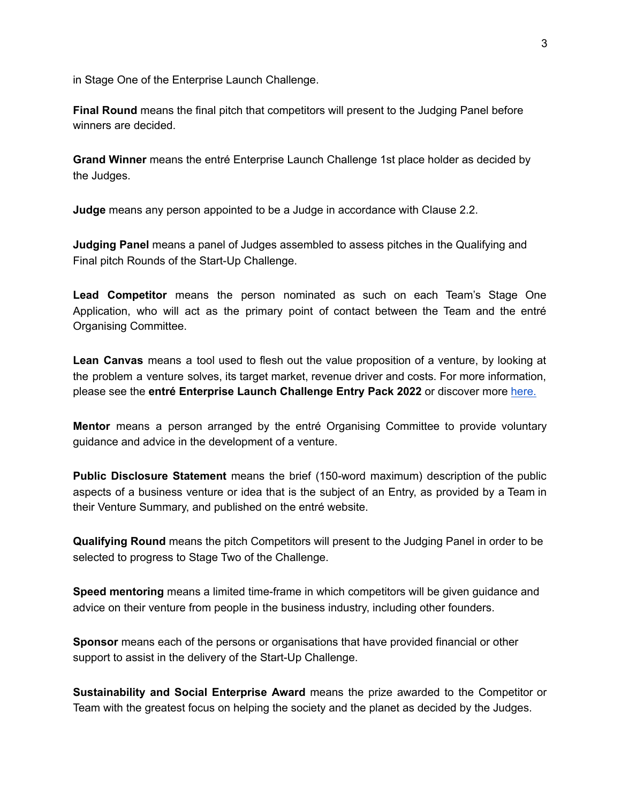in Stage One of the Enterprise Launch Challenge.

**Final Round** means the final pitch that competitors will present to the Judging Panel before winners are decided.

**Grand Winner** means the entré Enterprise Launch Challenge 1st place holder as decided by the Judges.

**Judge** means any person appointed to be a Judge in accordance with Clause 2.2.

**Judging Panel** means a panel of Judges assembled to assess pitches in the Qualifying and Final pitch Rounds of the Start-Up Challenge.

**Lead Competitor** means the person nominated as such on each Team's Stage One Application, who will act as the primary point of contact between the Team and the entré Organising Committee.

**Lean Canvas** means a tool used to flesh out the value proposition of a venture, by looking at the problem a venture solves, its target market, revenue driver and costs. For more information, please see the **entré Enterprise Launch Challenge Entry Pack 2022** or discover more [here.](https://leanstack.com/leancanvas)

**Mentor** means a person arranged by the entré Organising Committee to provide voluntary guidance and advice in the development of a venture.

**Public Disclosure Statement** means the brief (150-word maximum) description of the public aspects of a business venture or idea that is the subject of an Entry, as provided by a Team in their Venture Summary, and published on the entré website.

**Qualifying Round** means the pitch Competitors will present to the Judging Panel in order to be selected to progress to Stage Two of the Challenge.

**Speed mentoring** means a limited time-frame in which competitors will be given guidance and advice on their venture from people in the business industry, including other founders.

**Sponsor** means each of the persons or organisations that have provided financial or other support to assist in the delivery of the Start-Up Challenge.

**Sustainability and Social Enterprise Award** means the prize awarded to the Competitor or Team with the greatest focus on helping the society and the planet as decided by the Judges.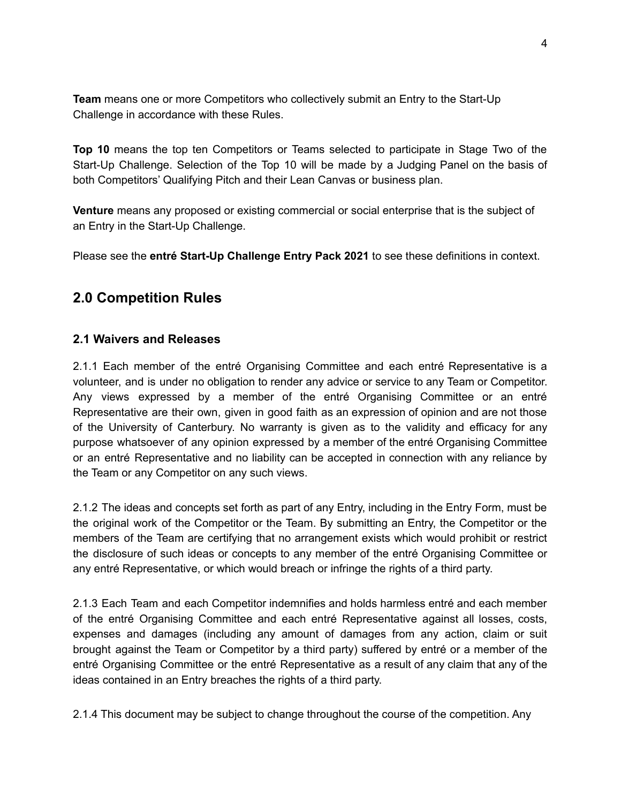**Team** means one or more Competitors who collectively submit an Entry to the Start-Up Challenge in accordance with these Rules.

**Top 10** means the top ten Competitors or Teams selected to participate in Stage Two of the Start-Up Challenge. Selection of the Top 10 will be made by a Judging Panel on the basis of both Competitors' Qualifying Pitch and their Lean Canvas or business plan.

**Venture** means any proposed or existing commercial or social enterprise that is the subject of an Entry in the Start-Up Challenge.

Please see the **entré Start-Up Challenge Entry Pack 2021** to see these definitions in context.

### **2.0 Competition Rules**

#### **2.1 Waivers and Releases**

2.1.1 Each member of the entré Organising Committee and each entré Representative is a volunteer, and is under no obligation to render any advice or service to any Team or Competitor. Any views expressed by a member of the entré Organising Committee or an entré Representative are their own, given in good faith as an expression of opinion and are not those of the University of Canterbury. No warranty is given as to the validity and efficacy for any purpose whatsoever of any opinion expressed by a member of the entré Organising Committee or an entré Representative and no liability can be accepted in connection with any reliance by the Team or any Competitor on any such views.

2.1.2 The ideas and concepts set forth as part of any Entry, including in the Entry Form, must be the original work of the Competitor or the Team. By submitting an Entry, the Competitor or the members of the Team are certifying that no arrangement exists which would prohibit or restrict the disclosure of such ideas or concepts to any member of the entré Organising Committee or any entré Representative, or which would breach or infringe the rights of a third party.

2.1.3 Each Team and each Competitor indemnifies and holds harmless entré and each member of the entré Organising Committee and each entré Representative against all losses, costs, expenses and damages (including any amount of damages from any action, claim or suit brought against the Team or Competitor by a third party) suffered by entré or a member of the entré Organising Committee or the entré Representative as a result of any claim that any of the ideas contained in an Entry breaches the rights of a third party.

2.1.4 This document may be subject to change throughout the course of the competition. Any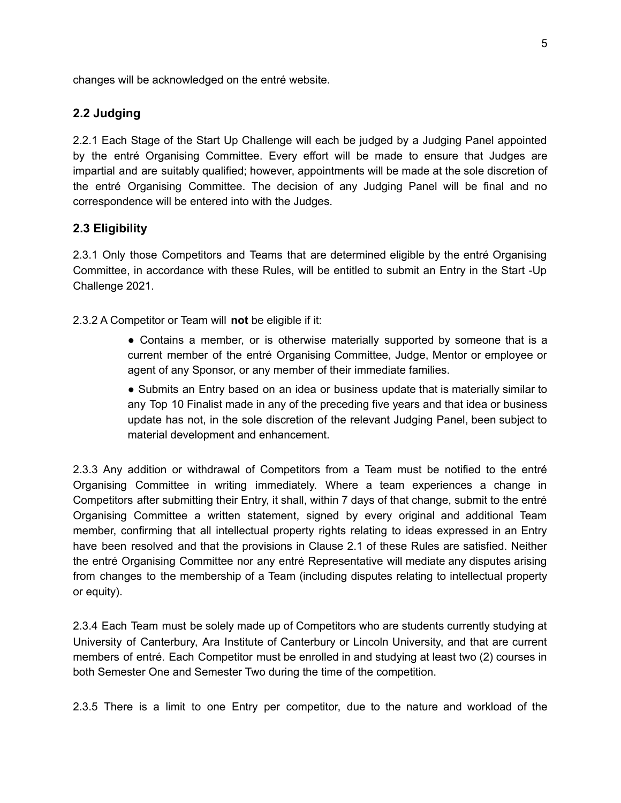changes will be acknowledged on the entré website.

#### **2.2 Judging**

2.2.1 Each Stage of the Start Up Challenge will each be judged by a Judging Panel appointed by the entré Organising Committee. Every effort will be made to ensure that Judges are impartial and are suitably qualified; however, appointments will be made at the sole discretion of the entré Organising Committee. The decision of any Judging Panel will be final and no correspondence will be entered into with the Judges.

#### **2.3 Eligibility**

2.3.1 Only those Competitors and Teams that are determined eligible by the entré Organising Committee, in accordance with these Rules, will be entitled to submit an Entry in the Start -Up Challenge 2021.

2.3.2 A Competitor or Team will **not** be eligible if it:

- Contains a member, or is otherwise materially supported by someone that is a current member of the entré Organising Committee, Judge, Mentor or employee or agent of any Sponsor, or any member of their immediate families.
- Submits an Entry based on an idea or business update that is materially similar to any Top 10 Finalist made in any of the preceding five years and that idea or business update has not, in the sole discretion of the relevant Judging Panel, been subject to material development and enhancement.

2.3.3 Any addition or withdrawal of Competitors from a Team must be notified to the entré Organising Committee in writing immediately. Where a team experiences a change in Competitors after submitting their Entry, it shall, within 7 days of that change, submit to the entré Organising Committee a written statement, signed by every original and additional Team member, confirming that all intellectual property rights relating to ideas expressed in an Entry have been resolved and that the provisions in Clause 2.1 of these Rules are satisfied. Neither the entré Organising Committee nor any entré Representative will mediate any disputes arising from changes to the membership of a Team (including disputes relating to intellectual property or equity).

2.3.4 Each Team must be solely made up of Competitors who are students currently studying at University of Canterbury, Ara Institute of Canterbury or Lincoln University, and that are current members of entré. Each Competitor must be enrolled in and studying at least two (2) courses in both Semester One and Semester Two during the time of the competition.

2.3.5 There is a limit to one Entry per competitor, due to the nature and workload of the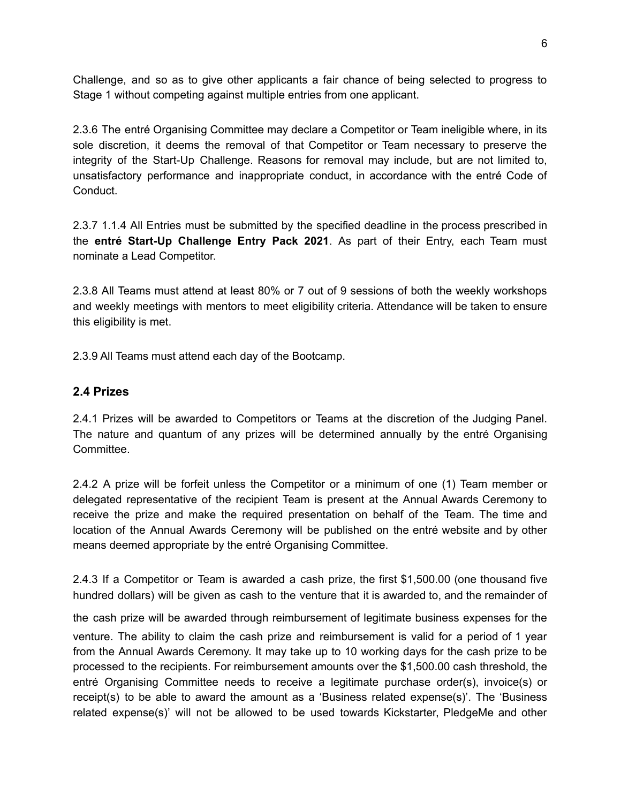Challenge, and so as to give other applicants a fair chance of being selected to progress to Stage 1 without competing against multiple entries from one applicant.

2.3.6 The entré Organising Committee may declare a Competitor or Team ineligible where, in its sole discretion, it deems the removal of that Competitor or Team necessary to preserve the integrity of the Start-Up Challenge. Reasons for removal may include, but are not limited to, unsatisfactory performance and inappropriate conduct, in accordance with the entré Code of Conduct.

2.3.7 1.1.4 All Entries must be submitted by the specified deadline in the process prescribed in the **entré Start-Up Challenge Entry Pack 2021**. As part of their Entry, each Team must nominate a Lead Competitor.

2.3.8 All Teams must attend at least 80% or 7 out of 9 sessions of both the weekly workshops and weekly meetings with mentors to meet eligibility criteria. Attendance will be taken to ensure this eligibility is met.

2.3.9 All Teams must attend each day of the Bootcamp.

#### **2.4 Prizes**

2.4.1 Prizes will be awarded to Competitors or Teams at the discretion of the Judging Panel. The nature and quantum of any prizes will be determined annually by the entré Organising Committee.

2.4.2 A prize will be forfeit unless the Competitor or a minimum of one (1) Team member or delegated representative of the recipient Team is present at the Annual Awards Ceremony to receive the prize and make the required presentation on behalf of the Team. The time and location of the Annual Awards Ceremony will be published on the entré website and by other means deemed appropriate by the entré Organising Committee.

2.4.3 If a Competitor or Team is awarded a cash prize, the first \$1,500.00 (one thousand five hundred dollars) will be given as cash to the venture that it is awarded to, and the remainder of

the cash prize will be awarded through reimbursement of legitimate business expenses for the venture. The ability to claim the cash prize and reimbursement is valid for a period of 1 year from the Annual Awards Ceremony. It may take up to 10 working days for the cash prize to be processed to the recipients. For reimbursement amounts over the \$1,500.00 cash threshold, the entré Organising Committee needs to receive a legitimate purchase order(s), invoice(s) or receipt(s) to be able to award the amount as a 'Business related expense(s)'. The 'Business related expense(s)' will not be allowed to be used towards Kickstarter, PledgeMe and other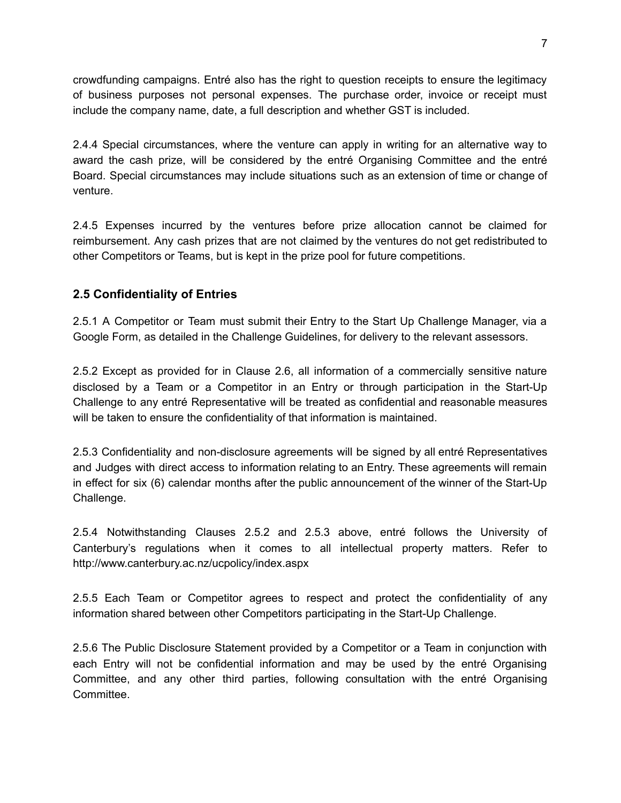crowdfunding campaigns. Entré also has the right to question receipts to ensure the legitimacy of business purposes not personal expenses. The purchase order, invoice or receipt must include the company name, date, a full description and whether GST is included.

2.4.4 Special circumstances, where the venture can apply in writing for an alternative way to award the cash prize, will be considered by the entré Organising Committee and the entré Board. Special circumstances may include situations such as an extension of time or change of venture.

2.4.5 Expenses incurred by the ventures before prize allocation cannot be claimed for reimbursement. Any cash prizes that are not claimed by the ventures do not get redistributed to other Competitors or Teams, but is kept in the prize pool for future competitions.

#### **2.5 Confidentiality of Entries**

2.5.1 A Competitor or Team must submit their Entry to the Start Up Challenge Manager, via a Google Form, as detailed in the Challenge Guidelines, for delivery to the relevant assessors.

2.5.2 Except as provided for in Clause 2.6, all information of a commercially sensitive nature disclosed by a Team or a Competitor in an Entry or through participation in the Start-Up Challenge to any entré Representative will be treated as confidential and reasonable measures will be taken to ensure the confidentiality of that information is maintained.

2.5.3 Confidentiality and non-disclosure agreements will be signed by all entré Representatives and Judges with direct access to information relating to an Entry. These agreements will remain in effect for six (6) calendar months after the public announcement of the winner of the Start-Up Challenge.

2.5.4 Notwithstanding Clauses 2.5.2 and 2.5.3 above, entré follows the University of Canterbury's regulations when it comes to all intellectual property matters. Refer to http://www.canterbury.ac.nz/ucpolicy/index.aspx

2.5.5 Each Team or Competitor agrees to respect and protect the confidentiality of any information shared between other Competitors participating in the Start-Up Challenge.

2.5.6 The Public Disclosure Statement provided by a Competitor or a Team in conjunction with each Entry will not be confidential information and may be used by the entré Organising Committee, and any other third parties, following consultation with the entré Organising Committee.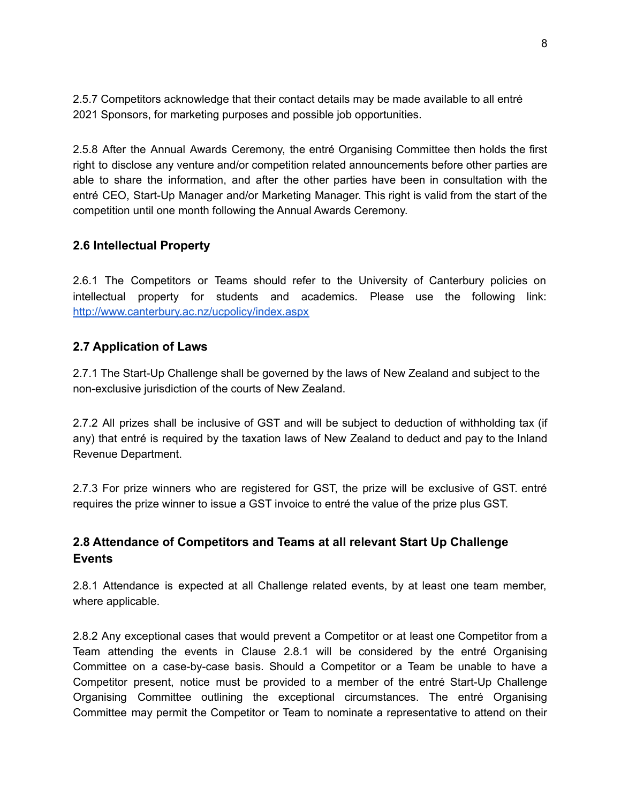2.5.7 Competitors acknowledge that their contact details may be made available to all entré 2021 Sponsors, for marketing purposes and possible job opportunities.

2.5.8 After the Annual Awards Ceremony, the entré Organising Committee then holds the first right to disclose any venture and/or competition related announcements before other parties are able to share the information, and after the other parties have been in consultation with the entré CEO, Start-Up Manager and/or Marketing Manager. This right is valid from the start of the competition until one month following the Annual Awards Ceremony.

#### **2.6 Intellectual Property**

2.6.1 The Competitors or Teams should refer to the University of Canterbury policies on intellectual property for students and academics. Please use the following link: <http://www.canterbury.ac.nz/ucpolicy/index.aspx>

#### **2.7 Application of Laws**

2.7.1 The Start-Up Challenge shall be governed by the laws of New Zealand and subject to the non-exclusive jurisdiction of the courts of New Zealand.

2.7.2 All prizes shall be inclusive of GST and will be subject to deduction of withholding tax (if any) that entré is required by the taxation laws of New Zealand to deduct and pay to the Inland Revenue Department.

2.7.3 For prize winners who are registered for GST, the prize will be exclusive of GST. entré requires the prize winner to issue a GST invoice to entré the value of the prize plus GST.

#### **2.8 Attendance of Competitors and Teams at all relevant Start Up Challenge Events**

2.8.1 Attendance is expected at all Challenge related events, by at least one team member, where applicable.

2.8.2 Any exceptional cases that would prevent a Competitor or at least one Competitor from a Team attending the events in Clause 2.8.1 will be considered by the entré Organising Committee on a case-by-case basis. Should a Competitor or a Team be unable to have a Competitor present, notice must be provided to a member of the entré Start-Up Challenge Organising Committee outlining the exceptional circumstances. The entré Organising Committee may permit the Competitor or Team to nominate a representative to attend on their